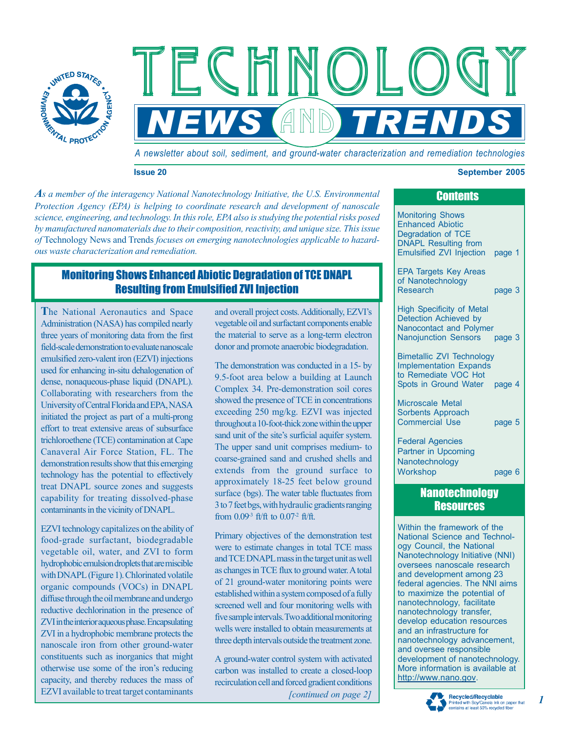

*A newsletter about soil, sediment, and ground-water characterization and remediation technologies*

**NEWS AND TRENDS** 

Technology Technology Technology

#### **Issue 20 September 2005**

*As a member of the interagency National Nanotechnology Initiative, the U.S. Environmental Protection Agency (EPA) is helping to coordinate research and development of nanoscale science, engineering, and technology. In this role, EPA also is studying the potential risks posed by manufactured nanomaterials due to their composition, reactivity, and unique size. This issue of* Technology News and Trends *focuses on emerging nanotechnologies applicable to hazardous waste characterization and remediation.* 

# Monitoring Shows Enhanced Abiotic Degradation of TCE DNAPL Resulting from Emulsified ZVI Injection

**T**he National Aeronautics and Space Administration (NASA) has compiled nearly three years of monitoring data from the first field-scale demonstration to evaluate nanoscale emulsified zero-valent iron (EZVI) injections used for enhancing in-situ dehalogenation of dense, nonaqueous-phase liquid (DNAPL). Collaborating with researchers from the University of Central Florida and EPA, NASA initiated the project as part of a multi-prong effort to treat extensive areas of subsurface trichloroethene (TCE) contamination at Cape Canaveral Air Force Station, FL. The demonstration results show that this emerging technology has the potential to effectively treat DNAPL source zones and suggests capability for treating dissolved-phase contaminants in the vicinity of DNAPL.

EZVI technology capitalizes on the ability of food-grade surfactant, biodegradable vegetable oil, water, and ZVI to form hydrophobic emulsion droplets that are miscible with DNAPL (Figure 1). Chlorinated volatile organic compounds (VOCs) in DNAPL diffuse through the oil membrane and undergo reductive dechlorination in the presence of ZVI in the interior aqueous phase. Encapsulating ZVI in a hydrophobic membrane protects the nanoscale iron from other ground-water constituents such as inorganics that might otherwise use some of the iron's reducing capacity, and thereby reduces the mass of EZVI available to treat target contaminants

and overall project costs. Additionally, EZVI's vegetable oil and surfactant components enable the material to serve as a long-term electron donor and promote anaerobic biodegradation.

The demonstration was conducted in a 15- by 9.5-foot area below a building at Launch Complex 34. Pre-demonstration soil cores showed the presence of TCE in concentrations exceeding 250 mg/kg. EZVI was injected throughout a 10-foot-thick zone within the upper sand unit of the site's surficial aquifer system. The upper sand unit comprises medium- to coarse-grained sand and crushed shells and extends from the ground surface to approximately 18-25 feet below ground surface (bgs). The water table fluctuates from 3 to 7 feet bgs, with hydraulic gradients ranging from 0.09-3 ft/ft to 0.07-2 ft/ft.

Primary objectives of the demonstration test were to estimate changes in total TCE mass and TCE DNAPL mass in the target unit as well as changes in TCE flux to ground water. A total of 21 ground-water monitoring points were established within a system composed of a fully screened well and four monitoring wells with five sample intervals.Two additional monitoring wells were installed to obtain measurements at three depth intervals outside the treatment zone.

*[continued on page 2]*  A ground-water control system with activated carbon was installed to create a closed-loop recirculation cell and forced gradient conditions

| <b>Contents</b>                                                                                                                                                                                                                                           |        |
|-----------------------------------------------------------------------------------------------------------------------------------------------------------------------------------------------------------------------------------------------------------|--------|
| <b>Monitoring Shows</b><br><b>Enhanced Abiotic</b><br>Degradation of TCE<br><b>DNAPL Resulting from</b><br>Emulsified ZVI Injection page 1                                                                                                                |        |
| <b>EPA Targets Key Areas</b><br>of Nanotechnology<br>Research                                                                                                                                                                                             | page 3 |
| <b>High Specificity of Metal</b><br><b>Detection Achieved by</b><br>Nanocontact and Polymer<br><b>Nanojunction Sensors</b>                                                                                                                                | page 3 |
| <b>Bimetallic ZVI Technology</b><br><b>Implementation Expands</b><br>to Remediate VOC Hot<br>Spots in Ground Water page 4                                                                                                                                 |        |
| <b>Microscale Metal</b><br><b>Sorbents Approach</b><br><b>Commercial Use</b>                                                                                                                                                                              | page 5 |
| <b>Federal Agencies</b><br>Partner in Upcoming<br>Nanotechnology<br>Workshop                                                                                                                                                                              | page 6 |
| <b>Nanotechnology</b><br><b>Resources</b>                                                                                                                                                                                                                 |        |
| Within the framework of the<br>National Science and Technol-<br>ogy Council, the National<br>Nanotechnology Initiative (NNI)<br>oversees nanoscale research<br>and development among 23<br>federal agencies. The NNI aims<br>to maximize the potential of |        |

to maximize the potential of nanotechnology, facilitate nanotechnology transfer, develop education resources and an infrastructure for nanotechnology advancement, and oversee responsible development of nanotechnology. More information is available at http://www.nano.gov.



*1*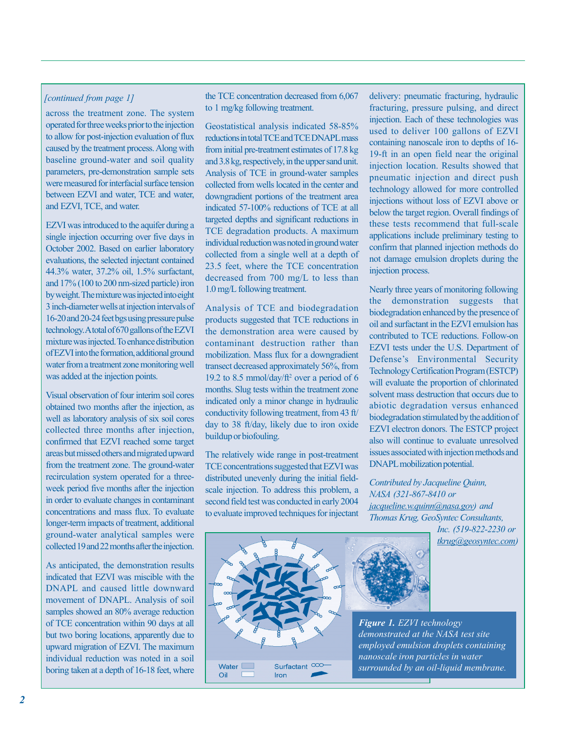### *[continued from page 1]*

across the treatment zone. The system operated for three weeks prior to the injection to allow for post-injection evaluation of flux baseline ground-water and soil quality parameters, pre-demonstration sample sets were measured for interfacial surface tension caused by the treatment process. Along with between EZVI and water, TCE and water, and EZVI, TCE, and water.

EZVI was introduced to the aquifer during a single injection occurring over five days in October 2002. Based on earlier laboratory evaluations, the selected injectant contained and 17% (100 to 200 nm-sized particle) iron by weight. The mixture was injected into eight 3 inch-diameter wells at injection intervals of 16-20 and 20-24 feet bgs using pressure pulse of EZVI into the formation, additional ground water from a treatment zone monitoring well was added at the injection points. 44.3% water, 37.2% oil, 1.5% surfactant, technology. A total of 670 gallons of the EZVI mixture was injected. To enhance distribution

obtained two months after the injection, as well as laboratory analysis of six soil cores collected three months after injection, confirmed that EZVI reached some target areas but missed others and migrated upward from the treatment zone. The ground-water recirculation system operated for a threein order to evaluate changes in contaminant longer-term impacts of treatment, additional ground-water analytical samples were collected 19 and 22 months after the injection. Visual observation of four interim soil cores week period five months after the injection concentrations and mass flux. To evaluate

As anticipated, the demonstration results indicated that EZVI was miscible with the DNAPL and caused little downward samples showed an 80% average reduction of TCE concentration within 90 days at all but two boring locations, apparently due to upward migration of EZVI. The maximum individual reduction was noted in a soil movement of DNAPL. Analysis of soil boring taken at a depth of 16-18 feet, where the TCE concentration decreased from 6,067 to 1 mg/kg following treatment.

Geostatistical analysis indicated 58-85% reductions in total TCE and TCE DNAPL mass from initial pre-treatment estimates of 17.8 kg Analysis of TCE in ground-water samples collected from wells located in the center and downgradient portions of the treatment area indicated 57-100% reductions of TCE at all targeted depths and significant reductions in individual reduction was noted in ground water collected from a single well at a depth of 23.5 feet, where the TCE concentration decreased from 700 mg/L to less than 1.0 mg/L following treatment. and 3.8 kg, respectively, in the upper sand unit. TCE degradation products. A maximum

Analysis of TCE and biodegradation the demonstration area were caused by contaminant destruction rather than mobilization. Mass flux for a downgradient transect decreased approximately 56%, from 2 19.2 to 8.5 mmol/day/ft<sup>2</sup> over a period of 6 months. Slug tests within the treatment zone indicated only a minor change in hydraulic conductivity following treatment, from 43 ft/ products suggested that TCE reductions in day to 38 ft/day, likely due to iron oxide buildup or biofouling.

The relatively wide range in post-treatment TCE concentrations suggested that EZVI was distributed unevenly during the initial fieldsecond field test was conducted in early 2004 to evaluate improved techniques for injectant scale injection. To address this problem, a delivery: pneumatic fracturing, hydraulic fracturing, pressure pulsing, and direct injection. Each of these technologies was used to deliver 100 gallons of EZVI containing nanoscale iron to depths of 16- 19-ft in an open field near the original pneumatic injection and direct push technology allowed for more controlled injections without loss of EZVI above or below the target region. Overall findings of these tests recommend that full-scale applications include preliminary testing to confirm that planned injection methods do not damage emulsion droplets during the injection process. injection location. Results showed that

Nearly three years of monitoring following the demonstration suggests that biodegradation enhanced by the presence of oil and surfactant in the EZVI emulsion has contributed to TCE reductions. Follow-on EZVI tests under the U.S. Department of Defense's Environmental Security will evaluate the proportion of chlorinated solvent mass destruction that occurs due to abiotic degradation versus enhanced biodegradation stimulated by the addition of EZVI electron donors. The ESTCP project also will continue to evaluate unresolved issues associated with injection methods and DNAPL mobilization potential. Technology Certification Program (ESTCP)

*Contributed by Jacqueline Quinn, NASA (321-867-8410 or jacqueline.w.quinn@nasa.gov) and Thomas Krug, GeoSyntec Consultants,* 

> *Inc. (519-822-2230 or tkrug@geosyntec.com)*





*Figure 1. EZVI technology demonstrated at the NASA test site employed emulsion droplets containing nanoscale iron particles in water surrounded by an oil-liquid membrane.*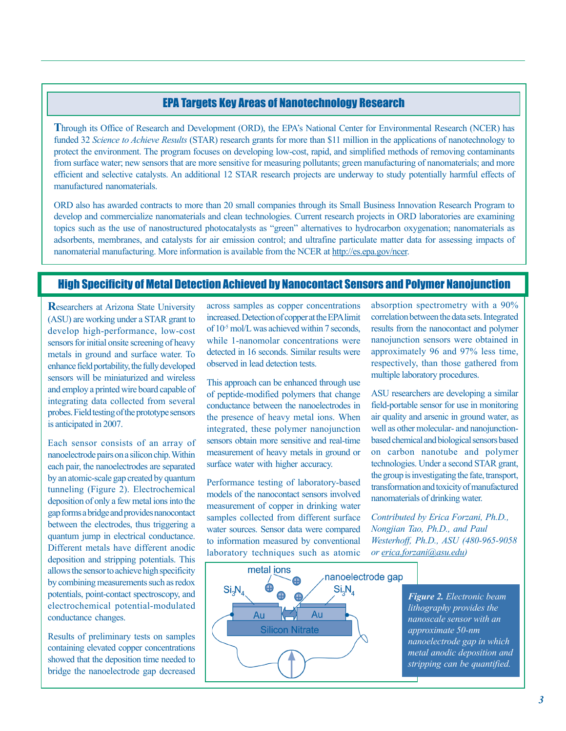# EPA Targets Key Areas of Nanotechnology Research

Through its Office of Research and Development (ORD), the EPA's National Center for Environmental Research (NCER) has funded 32 Science to Achieve Results (STAR) research grants for more than \$11 million in the applications of nanotechnology to protect the environment. The program focuses on developing low-cost, rapid, and simplified methods of removing contaminants manufactured nanomaterials. from surface water; new sensors that are more sensitive for measuring pollutants; green manufacturing of nanomaterials; and more efficient and selective catalysts. An additional 12 STAR research projects are underway to study potentially harmful effects of

ORD also has awarded contracts to more than 20 small companies through its Small Business Innovation Research Program to develop and commercialize nanomaterials and clean technologies. Current research projects in ORD laboratories are examining topics such as the use of nanostructured photocatalysts as "green" alternatives to hydrocarbon oxygenation; nanomaterials as adsorbents, membranes, and catalysts for air emission control; and ultrafine particulate matter data for assessing impacts of nanomaterial manufacturing. More information is available from the NCER at http://es.epa.gov/ncer.

# High Specificity of Metal Detection Achieved by Nanocontact Sensors and Polymer Nanojunction

**R** esearchers at Arizona State University develop high-performance, low-cost sensors for initial onsite screening of heavy sensors will be miniaturized and wireless and employ a printed wire board capable of integrating data collected from several probes. Field testing of the prototype sensors is anticipated in 2007. (ASU) are working under a STAR grant to metals in ground and surface water. To enhance field portability, the fully developed

Each sensor consists of an array of by an atomic-scale gap created by quantum tunneling (Figure 2). Electrochemical deposition of only a few metal ions into the gap forms a bridge and provides nanocontact between the electrodes, thus triggering a quantum jump in electrical conductance. Different metals have different anodic deposition and stripping potentials. This allows the sensor to achieve high specificity by combining measurements such as redox electrochemical potential-modulated conductance changes. nanoelectrode pairs on a silicon chip. Within each pair, the nanoelectrodes are separated potentials, point-contact spectroscopy, and

Results of preliminary tests on samples containing elevated copper concentrations showed that the deposition time needed to bridge the nanoelectrode gap decreased

across samples as copper concentrations of  $10^{-5}$  mol/L was achieved within 7 seconds. while 1-nanomolar concentrations were detected in 16 seconds. Similar results were observed in lead detection tests. increased. Detection of copper at the EPA limit

This approach can be enhanced through use of peptide-modified polymers that change conductance between the nanoelectrodes in the presence of heavy metal ions. When integrated, these polymer nanojunction sensors obtain more sensitive and real-time measurement of heavy metals in ground or surface water with higher accuracy.

Performance testing of laboratory-based models of the nanocontact sensors involved measurement of copper in drinking water samples collected from different surface water sources. Sensor data were compared to information measured by conventional laboratory techniques such as atomic

absorption spectrometry with a 90% correlation between the data sets. Integrated results from the nanocontact and polymer nanojunction sensors were obtained in approximately 96 and 97% less time, multiple laboratory procedures. respectively, than those gathered from

ASU researchers are developing a similar field-portable sensor for use in monitoring well as other molecular- and nanojunctionbased chemical and biological sensors based on carbon nanotube and polymer the group is investigating the fate, transport, transformation and toxicity of manufactured air quality and arsenic in ground water, as technologies. Under a second STAR grant, nanomaterials of drinking water.

*Contributed by Erica Forzani, Ph.D., or erica.forzani@asu.edu) Nongjian Tao, Ph.D., and Paul Westerhoff, Ph.D., ASU (480-965-9058* 

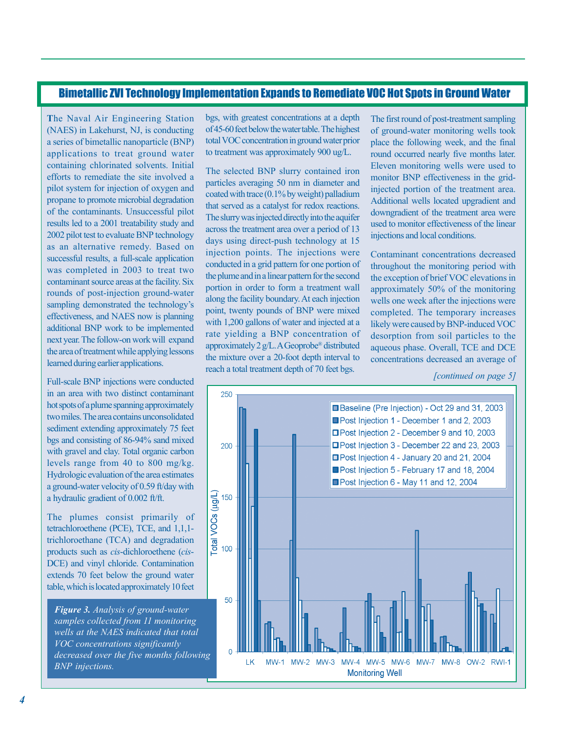# Bimetallic ZVI Technology Implementation Expands to Remediate VOC Hot Spots in Ground Water

**T** he Naval Air Engineering Station (NAES) in Lakehurst, NJ, is conducting a series of bimetallic nanoparticle (BNP) applications to treat ground water containing chlorinated solvents. Initial efforts to remediate the site involved a pilot system for injection of oxygen and of the contaminants. Unsuccessful pilot results led to a 2001 treatability study and 2002 pilot test to evaluate BNP technology successful results, a full-scale application was completed in 2003 to treat two rounds of post-injection ground-water effectiveness, and NAES now is planning next year. The follow-on work will expand the area of treatment while applying lessons learned during earlier applications. propane to promote microbial degradation as an alternative remedy. Based on contaminant source areas at the facility. Six sampling demonstrated the technology's additional BNP work to be implemented

Full-scale BNP injections were conducted in an area with two distinct contaminant hot spots of a plume spanning approximately two miles. The area contains unconsolidated sediment extending approximately 75 feet bgs and consisting of 86-94% sand mixed levels range from 40 to 800 mg/kg. Hydrologic evaluation of the area estimates a ground-water velocity of 0.59 ft/day with a hydraulic gradient of 0.002 ft/ft. with gravel and clay. Total organic carbon

The plumes consist primarily of tetrachloroethene (PCE), TCE, and 1,1,1 trichloroethane (TCA) and degradation products such as *cis*-dichloroethene (*cis*-DCE) and vinyl chloride. Contamination extends 70 feet below the ground water table, which is located approximately 10 feet

*Figure 3. Analysis of ground-water wells at the NAES indicated that total VOC concentrations significantly BNP injections. samples collected from 11 monitoring decreased over the five months following* 

bgs, with greatest concentrations at a depth of 45-60 feet below the water table. The highest total VOC concentration in ground water prior to treatment was approximately 900 ug/L.

The selected BNP slurry contained iron coated with trace (0.1% by weight) palladium that served as a catalyst for redox reactions. The slurry was injected directly into the aquifer across the treatment area over a period of 13 days using direct-push technology at 15 injection points. The injections were conducted in a grid pattern for one portion of the plume and in a linear pattern for the second portion in order to form a treatment wall point, twenty pounds of BNP were mixed rate yielding a BNP concentration of the mixture over a 20-foot depth interval to reach a total treatment depth of 70 feet bgs. particles averaging 50 nm in diameter and along the facility boundary. At each injection with 1,200 gallons of water and injected at a approximately 2 g/L. A Geoprobe

The first round of post-treatment sampling of ground-water monitoring wells took place the following week, and the final Eleven monitoring wells were used to monitor BNP effectiveness in the gridinjected portion of the treatment area. Additional wells located upgradient and downgradient of the treatment area were used to monitor effectiveness of the linear injections and local conditions. round occurred nearly five months later.

Contaminant concentrations decreased throughout the monitoring period with the exception of brief VOC elevations in approximately 50% of the monitoring wells one week after the injections were completed. The temporary increases likely were caused by BNP-induced VOC desorption from soil particles to the aqueous phase. Overall, TCE and DCE concentrations decreased an average of

*[continued on page 5]* 

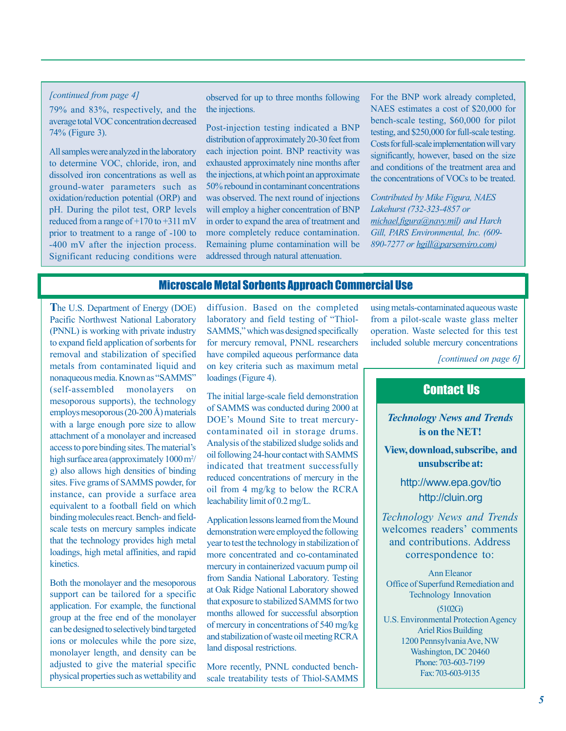#### *[continued from [continued from page 4] page 4]*

79% and 83%, respectively, and the average total VOC concentration decreased 74% (Figure 3).

All samples were analyzed in the laboratory to determine VOC, chloride, iron, and dissolved iron concentrations as well as ground-water parameters such as oxidation/reduction potential (ORP) and pH. During the pilot test, ORP levels reduced from a range of +170 to +311 mV prior to treatment to a range of -100 to -400 mV after the injection process. Significant reducing conditions were observed for up to three months following the injections.

Post-injection testing indicated a BNP distribution of approximately 20-30 feet from each injection point. BNP reactivity was exhausted approximately nine months after the injections, at which point an approximate 50% rebound in contaminant concentrations was observed. The next round of injections will employ a higher concentration of BNP in order to expand the area of treatment and more completely reduce contamination. Remaining plume contamination will be addressed through natural attenuation.

For the BNP work already completed, NAES estimates a cost of \$20,000 for bench-scale testing, \$60,000 for pilot testing, and \$250,000 for full-scale testing. Costs for full-scale implementation will vary significantly, however, based on the size and conditions of the treatment area and the concentrations of VOCs to be treated.

*Contributed by Mike Figura, NAES Lakehurst (732-323-4857 or michael.figura@navy.mil) and Harch Gill, PARS Environmental, Inc. (609- 890-7277 or hgill@parsenviro.com)* 

### Microscale Metal Sorbents Approach Commercial Use

**T**he U.S. Department of Energy (DOE) Pacific Northwest National Laboratory (PNNL) is working with private industry to expand field application of sorbents for removal and stabilization of specified metals from contaminated liquid and nonaqueous media. Known as "SAMMS" (self-assembled monolayers) mesoporous supports), the technology employs mesoporous (20-200 Å) materials with a large enough pore size to allow attachment of a monolayer and increased access to pore binding sites. The material's high surface area (approximately 1000 m<sup>2</sup>/ g) also allows high densities of binding sites. Five grams of SAMMS powder, for instance, can provide a surface area equivalent to a football field on which binding molecules react. Bench- and fieldscale tests on mercury samples indicate that the technology provides high metal loadings, high metal affinities, and rapid **kinetics** 

Both the monolayer and the mesoporous support can be tailored for a specific application. For example, the functional group at the free end of the monolayer can be designed to selectively bind targeted ions or molecules while the pore size, monolayer length, and density can be adjusted to give the material specific physical properties such as wettability and

diffusion. Based on the completed laboratory and field testing of "Thiol-SAMMS," which was designed specifically for mercury removal, PNNL researchers have compiled aqueous performance data on key criteria such as maximum metal loadings (Figure 4).

The initial large-scale field demonstration of SAMMS was conducted during 2000 at DOE's Mound Site to treat mercurycontaminated oil in storage drums. Analysis of the stabilized sludge solids and oil following 24-hour contact with SAMMS indicated that treatment successfully reduced concentrations of mercury in the oil from 4 mg/kg to below the RCRA leachability limit of 0.2 mg/L.

Application lessons learned from the Mound demonstration were employed the following year to test the technology in stabilization of more concentrated and co-contaminated mercury in containerized vacuum pump oil from Sandia National Laboratory. Testing at Oak Ridge National Laboratory showed that exposure to stabilized SAMMS for two months allowed for successful absorption of mercury in concentrations of 540 mg/kg and stabilization of waste oil meeting RCRA land disposal restrictions.

More recently, PNNL conducted benchscale treatability tests of Thiol-SAMMS

using metals-contaminated aqueous waste from a pilot-scale waste glass melter operation. Waste selected for this test included soluble mercury concentrations

*[continued on page 6]* 

# Contact Us

*Technology News and Trends*  **is on the NET!** 

**View, download, subscribe, and unsubscribe at:** 

> http://www.epa.gov/tio http://cluin.org

*Technology News and Trends*  welcomes readers' comments and contributions. Address correspondence to:

Ann Eleanor Office of Superfund Remediation and Technology Innovation (5102G) U.S. Environmental Protection Agency Ariel Rios Building 1200 Pennsylvania Ave, NW Washington, DC 20460 Phone: 703-603-7199 Fax: 703-603-9135